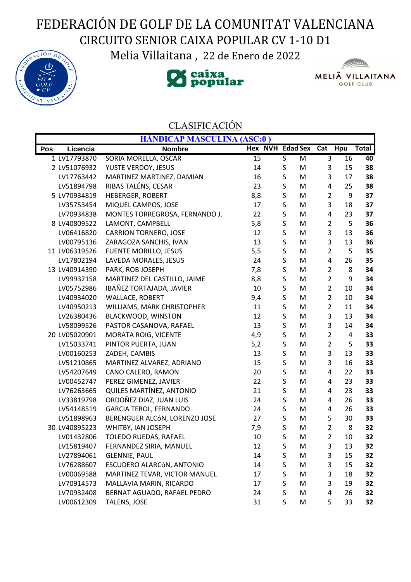## FEDERACIÓN DE GOLF DE LA COMUNITAT VALENCIANA CIRCUITO SENIOR CAIXA POPULAR CV 1-10 D1

Melia Villaitana , 22 de Enero de 2022







## CLASIFICACIÓN

|     |               | <b>HÁNDICAP MASCULINA (ASC:0)</b> |                          |             |   |                |    |              |
|-----|---------------|-----------------------------------|--------------------------|-------------|---|----------------|----|--------------|
| Pos | Licencia      | <b>Nombre</b>                     | Hex NVH Edad Sex Cat Hpu |             |   |                |    | <b>Total</b> |
|     | 1 LV17793870  | SORIA MORELLA, OSCAR              | 15                       | S           | M | 3              | 16 | 40           |
|     | 2 LV51076932  | YUSTE VERDOY, JESUS               | 14                       | S           | M | 3              | 15 | 38           |
|     | LV17763442    | MARTINEZ MARTINEZ, DAMIAN         | 16                       | S           | M | 3              | 17 | 38           |
|     | LV51894798    | RIBAS TALÉNS, CESAR               | 23                       | S           | M | 4              | 25 | 38           |
|     | 5 LV70934819  | <b>HEBERGER, ROBERT</b>           | 8,8                      | S           | M | $\overline{2}$ | 9  | 37           |
|     | LV35753454    | MIQUEL CAMPOS, JOSE               | 17                       | S           | M | 3              | 18 | 37           |
|     | LV70934838    | MONTES TORREGROSA, FERNANDO J.    | 22                       | S           | M | 4              | 23 | 37           |
|     | 8 LV40809522  | LAMONT, CAMPBELL                  | 5,8                      | S           | M | $\overline{2}$ | 5  | 36           |
|     | LV06416820    | <b>CARRION TORNERO, JOSE</b>      | 12                       | $\mathsf S$ | M | 3              | 13 | 36           |
|     | LV00795136    | ZARAGOZA SANCHIS, IVAN            | 13                       | $\sf S$     | M | 3              | 13 | 36           |
|     | 11 LV06319526 | <b>FUENTE MORILLO, JESUS</b>      | 5,5                      | S           | M | $\overline{2}$ | 5  | 35           |
|     | LV17802194    | LAVEDA MORALES, JESUS             | 24                       | S           | M | 4              | 26 | 35           |
|     | 13 LV40914390 | PARK, ROB JOSEPH                  | 7,8                      | S           | M | $\overline{2}$ | 8  | 34           |
|     | LV99932158    | MARTINEZ DEL CASTILLO, JAIME      | 8,8                      | $\mathsf S$ | M | $\overline{2}$ | 9  | 34           |
|     | LV05752986    | IBAÑEZ TORTAJADA, JAVIER          | 10                       | S           | M | $\overline{2}$ | 10 | 34           |
|     | LV40934020    | <b>WALLACE, ROBERT</b>            | 9,4                      | S           | M | $\overline{2}$ | 10 | 34           |
|     | LV40950213    | WILLIAMS, MARK CHRISTOPHER        | 11                       | S           | M | $\overline{2}$ | 11 | 34           |
|     | LV26380436    | <b>BLACKWOOD, WINSTON</b>         | 12                       | S           | M | 3              | 13 | 34           |
|     | LV58099526    | PASTOR CASANOVA, RAFAEL           | 13                       | S           | M | 3              | 14 | 34           |
|     | 20 LV05020901 | MORATA ROIG, VICENTE              | 4,9                      | S           | M | $\overline{2}$ | 4  | 33           |
|     | LV15033741    | PINTOR PUERTA, JUAN               | 5,2                      | S           | M | $\overline{2}$ | 5  | 33           |
|     | LV00160253    | ZADEH, CAMBIS                     | 13                       | S           | M | 3              | 13 | 33           |
|     | LV51210865    | MARTINEZ ALVAREZ, ADRIANO         | 15                       | S           | M | 3              | 16 | 33           |
|     | LV54207649    | CANO CALERO, RAMON                | 20                       | S           | M | 4              | 22 | 33           |
|     | LV00452747    | PEREZ GIMENEZ, JAVIER             | 22                       | $\mathsf S$ | M | 4              | 23 | 33           |
|     | LV76263665    | QUILES MARTÍNEZ, ANTONIO          | 21                       | $\mathsf S$ | M | 4              | 23 | 33           |
|     | LV33819798    | ORDOÑEZ DIAZ, JUAN LUIS           | 24                       | S           | M | 4              | 26 | 33           |
|     | LV54148519    | <b>GARCIA TEROL, FERNANDO</b>     | 24                       | S           | M | 4              | 26 | 33           |
|     | LV51898963    | BERENGUER ALCÓN, LORENZO JOSE     | 27                       | S           | M | 5              | 30 | 33           |
|     | 30 LV40895223 | WHITBY, IAN JOSEPH                | 7,9                      | S           | M | $\overline{2}$ | 8  | 32           |
|     | LV01432806    | TOLEDO RUEDAS, RAFAEL             | 10                       | S           | M | $\overline{2}$ | 10 | 32           |
|     | LV15819407    | FERNANDEZ SIRIA, MANUEL           | 12                       | S           | M | 3              | 13 | 32           |
|     | LV27894061    | <b>GLENNIE, PAUL</b>              | 14                       | S           | M | 3              | 15 | 32           |
|     | LV76288607    | ESCUDERO ALARCÓN, ANTONIO         | 14                       | S           | M | 3              | 15 | 32           |
|     | LV00069588    | MARTINEZ TEVAR, VICTOR MANUEL     | 17                       | S           | M | 3              | 18 | 32           |
|     | LV70914573    | MALLAVIA MARIN, RICARDO           | 17                       | S           | M | 3              | 19 | 32           |
|     | LV70932408    | BERNAT AGUADO, RAFAEL PEDRO       | 24                       | $\sf S$     | M | 4              | 26 | 32           |
|     | LV00612309    | TALENS, JOSE                      | 31                       | S           | M | 5              | 33 | 32           |